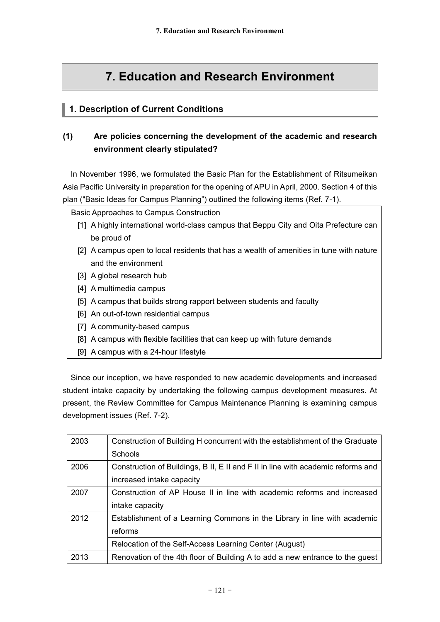# **7. Education and Research Environment**

# **1. Description of Current Conditions**

# **(1) Are policies concerning the development of the academic and research environment clearly stipulated?**

In November 1996, we formulated the Basic Plan for the Establishment of Ritsumeikan Asia Pacific University in preparation for the opening of APU in April, 2000. Section 4 of this plan ("Basic Ideas for Campus Planning") outlined the following items (Ref. 7-1).

Basic Approaches to Campus Construction

- [1] A highly international world-class campus that Beppu City and Oita Prefecture can be proud of
- [2] A campus open to local residents that has a wealth of amenities in tune with nature and the environment
- [3] A global research hub
- [4] A multimedia campus
- [5] A campus that builds strong rapport between students and faculty
- [6] An out-of-town residential campus
- [7] A community-based campus
- [8] A campus with flexible facilities that can keep up with future demands
- [9] A campus with a 24-hour lifestyle

Since our inception, we have responded to new academic developments and increased student intake capacity by undertaking the following campus development measures. At present, the Review Committee for Campus Maintenance Planning is examining campus development issues (Ref. 7-2).

| 2003 | Construction of Building H concurrent with the establishment of the Graduate     |  |
|------|----------------------------------------------------------------------------------|--|
|      | Schools                                                                          |  |
| 2006 | Construction of Buildings, B II, E II and F II in line with academic reforms and |  |
|      | increased intake capacity                                                        |  |
| 2007 | Construction of AP House II in line with academic reforms and increased          |  |
|      | intake capacity                                                                  |  |
| 2012 | Establishment of a Learning Commons in the Library in line with academic         |  |
|      | reforms                                                                          |  |
|      | Relocation of the Self-Access Learning Center (August)                           |  |
| 2013 | Renovation of the 4th floor of Building A to add a new entrance to the guest     |  |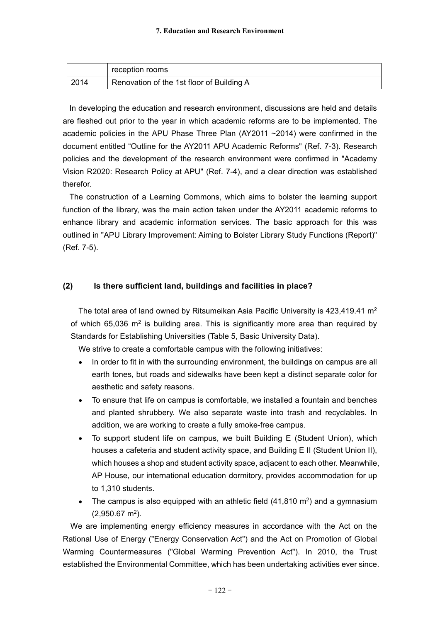|       | reception rooms                           |
|-------|-------------------------------------------|
| 12014 | Renovation of the 1st floor of Building A |

In developing the education and research environment, discussions are held and details are fleshed out prior to the year in which academic reforms are to be implemented. The academic policies in the APU Phase Three Plan (AY2011 ~2014) were confirmed in the document entitled "Outline for the AY2011 APU Academic Reforms" (Ref. 7-3). Research policies and the development of the research environment were confirmed in "Academy Vision R2020: Research Policy at APU" (Ref. 7-4), and a clear direction was established therefor.

The construction of a Learning Commons, which aims to bolster the learning support function of the library, was the main action taken under the AY2011 academic reforms to enhance library and academic information services. The basic approach for this was outlined in "APU Library Improvement: Aiming to Bolster Library Study Functions (Report)" (Ref. 7-5).

#### **(2) Is there sufficient land, buildings and facilities in place?**

The total area of land owned by Ritsumeikan Asia Pacific University is 423,419.41 m<sup>2</sup> of which 65,036  $m^2$  is building area. This is significantly more area than required by Standards for Establishing Universities (Table 5, Basic University Data).

We strive to create a comfortable campus with the following initiatives:

- In order to fit in with the surrounding environment, the buildings on campus are all  $\bullet$ earth tones, but roads and sidewalks have been kept a distinct separate color for aesthetic and safety reasons.
- To ensure that life on campus is comfortable, we installed a fountain and benches and planted shrubbery. We also separate waste into trash and recyclables. In addition, we are working to create a fully smoke-free campus.
- To support student life on campus, we built Building E (Student Union), which houses a cafeteria and student activity space, and Building E II (Student Union II), which houses a shop and student activity space, adjacent to each other. Meanwhile, AP House, our international education dormitory, provides accommodation for up to 1,310 students.
- The campus is also equipped with an athletic field  $(41,810 \text{ m}^2)$  and a gymnasium  $(2,950.67 \text{ m}^2).$

We are implementing energy efficiency measures in accordance with the Act on the Rational Use of Energy ("Energy Conservation Act") and the Act on Promotion of Global Warming Countermeasures ("Global Warming Prevention Act"). In 2010, the Trust established the Environmental Committee, which has been undertaking activities ever since.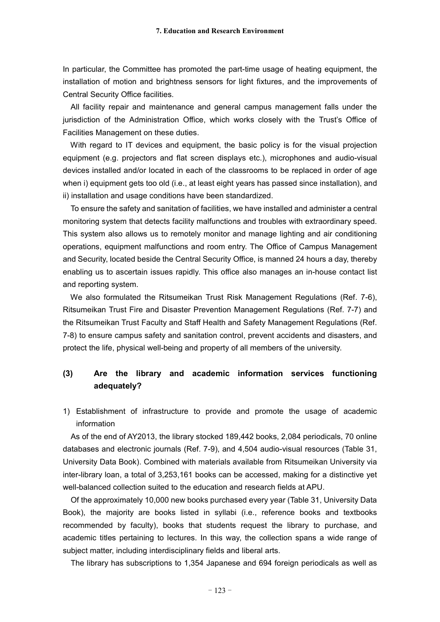In particular, the Committee has promoted the part-time usage of heating equipment, the installation of motion and brightness sensors for light fixtures, and the improvements of Central Security Office facilities.

All facility repair and maintenance and general campus management falls under the jurisdiction of the Administration Office, which works closely with the Trust's Office of Facilities Management on these duties.

With regard to IT devices and equipment, the basic policy is for the visual projection equipment (e.g. projectors and flat screen displays etc.), microphones and audio-visual devices installed and/or located in each of the classrooms to be replaced in order of age when i) equipment gets too old (i.e., at least eight years has passed since installation), and ii) installation and usage conditions have been standardized.

To ensure the safety and sanitation of facilities, we have installed and administer a central monitoring system that detects facility malfunctions and troubles with extraordinary speed. This system also allows us to remotely monitor and manage lighting and air conditioning operations, equipment malfunctions and room entry. The Office of Campus Management and Security, located beside the Central Security Office, is manned 24 hours a day, thereby enabling us to ascertain issues rapidly. This office also manages an in-house contact list and reporting system.

We also formulated the Ritsumeikan Trust Risk Management Regulations (Ref. 7-6), Ritsumeikan Trust Fire and Disaster Prevention Management Regulations (Ref. 7-7) and the Ritsumeikan Trust Faculty and Staff Health and Safety Management Regulations (Ref. 7-8) to ensure campus safety and sanitation control, prevent accidents and disasters, and protect the life, physical well-being and property of all members of the university.

## **(3) Are the library and academic information services functioning adequately?**

1) Establishment of infrastructure to provide and promote the usage of academic information

As of the end of AY2013, the library stocked 189,442 books, 2,084 periodicals, 70 online databases and electronic journals (Ref. 7-9), and 4,504 audio-visual resources (Table 31, University Data Book). Combined with materials available from Ritsumeikan University via inter-library loan, a total of 3,253,161 books can be accessed, making for a distinctive yet well-balanced collection suited to the education and research fields at APU.

Of the approximately 10,000 new books purchased every year (Table 31, University Data Book), the majority are books listed in syllabi (i.e., reference books and textbooks recommended by faculty), books that students request the library to purchase, and academic titles pertaining to lectures. In this way, the collection spans a wide range of subject matter, including interdisciplinary fields and liberal arts.

The library has subscriptions to 1,354 Japanese and 694 foreign periodicals as well as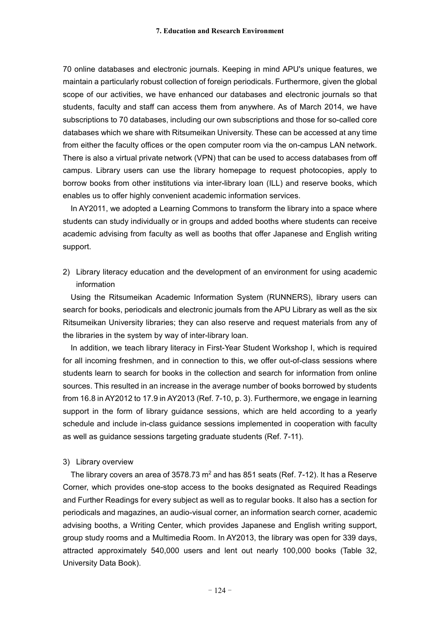70 online databases and electronic journals. Keeping in mind APU's unique features, we maintain a particularly robust collection of foreign periodicals. Furthermore, given the global scope of our activities, we have enhanced our databases and electronic journals so that students, faculty and staff can access them from anywhere. As of March 2014, we have subscriptions to 70 databases, including our own subscriptions and those for so-called core databases which we share with Ritsumeikan University. These can be accessed at any time from either the faculty offices or the open computer room via the on-campus LAN network. There is also a virtual private network (VPN) that can be used to access databases from off campus. Library users can use the library homepage to request photocopies, apply to borrow books from other institutions via inter-library loan (ILL) and reserve books, which enables us to offer highly convenient academic information services.

In AY2011, we adopted a Learning Commons to transform the library into a space where students can study individually or in groups and added booths where students can receive academic advising from faculty as well as booths that offer Japanese and English writing support.

2) Library literacy education and the development of an environment for using academic information

Using the Ritsumeikan Academic Information System (RUNNERS), library users can search for books, periodicals and electronic journals from the APU Library as well as the six Ritsumeikan University libraries; they can also reserve and request materials from any of the libraries in the system by way of inter-library loan.

In addition, we teach library literacy in First-Year Student Workshop I, which is required for all incoming freshmen, and in connection to this, we offer out-of-class sessions where students learn to search for books in the collection and search for information from online sources. This resulted in an increase in the average number of books borrowed by students from 16.8 in AY2012 to 17.9 in AY2013 (Ref. 7-10, p. 3). Furthermore, we engage in learning support in the form of library guidance sessions, which are held according to a yearly schedule and include in-class guidance sessions implemented in cooperation with faculty as well as guidance sessions targeting graduate students (Ref. 7-11).

#### 3) Library overview

The library covers an area of 3578.73  $m<sup>2</sup>$  and has 851 seats (Ref. 7-12). It has a Reserve Corner, which provides one-stop access to the books designated as Required Readings and Further Readings for every subject as well as to regular books. It also has a section for periodicals and magazines, an audio-visual corner, an information search corner, academic advising booths, a Writing Center, which provides Japanese and English writing support, group study rooms and a Multimedia Room. In AY2013, the library was open for 339 days, attracted approximately 540,000 users and lent out nearly 100,000 books (Table 32, University Data Book).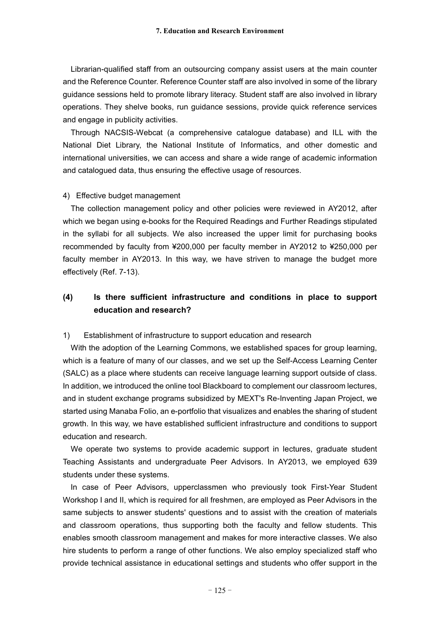Librarian-qualified staff from an outsourcing company assist users at the main counter and the Reference Counter. Reference Counter staff are also involved in some of the library guidance sessions held to promote library literacy. Student staff are also involved in library operations. They shelve books, run guidance sessions, provide quick reference services and engage in publicity activities.

Through NACSIS-Webcat (a comprehensive catalogue database) and ILL with the National Diet Library, the National Institute of Informatics, and other domestic and international universities, we can access and share a wide range of academic information and catalogued data, thus ensuring the effective usage of resources.

#### 4) Effective budget management

The collection management policy and other policies were reviewed in AY2012, after which we began using e-books for the Required Readings and Further Readings stipulated in the syllabi for all subjects. We also increased the upper limit for purchasing books recommended by faculty from ¥200,000 per faculty member in AY2012 to ¥250,000 per faculty member in AY2013. In this way, we have striven to manage the budget more effectively (Ref. 7-13).

# **(4) Is there sufficient infrastructure and conditions in place to support education and research?**

#### 1) Establishment of infrastructure to support education and research

With the adoption of the Learning Commons, we established spaces for group learning, which is a feature of many of our classes, and we set up the Self-Access Learning Center (SALC) as a place where students can receive language learning support outside of class. In addition, we introduced the online tool Blackboard to complement our classroom lectures, and in student exchange programs subsidized by MEXT's Re-Inventing Japan Project, we started using Manaba Folio, an e-portfolio that visualizes and enables the sharing of student growth. In this way, we have established sufficient infrastructure and conditions to support education and research.

We operate two systems to provide academic support in lectures, graduate student Teaching Assistants and undergraduate Peer Advisors. In AY2013, we employed 639 students under these systems.

In case of Peer Advisors, upperclassmen who previously took First-Year Student Workshop I and II, which is required for all freshmen, are employed as Peer Advisors in the same subjects to answer students' questions and to assist with the creation of materials and classroom operations, thus supporting both the faculty and fellow students. This enables smooth classroom management and makes for more interactive classes. We also hire students to perform a range of other functions. We also employ specialized staff who provide technical assistance in educational settings and students who offer support in the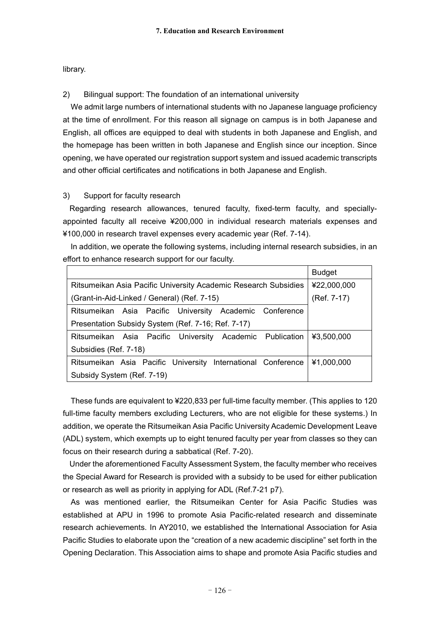library.

2) Bilingual support: The foundation of an international university

We admit large numbers of international students with no Japanese language proficiency at the time of enrollment. For this reason all signage on campus is in both Japanese and English, all offices are equipped to deal with students in both Japanese and English, and the homepage has been written in both Japanese and English since our inception. Since opening, we have operated our registration support system and issued academic transcripts and other official certificates and notifications in both Japanese and English.

#### 3) Support for faculty research

Regarding research allowances, tenured faculty, fixed-term faculty, and speciallyappointed faculty all receive ¥200,000 in individual research materials expenses and ¥100,000 in research travel expenses every academic year (Ref. 7-14).

In addition, we operate the following systems, including internal research subsidies, in an effort to enhance research support for our faculty.

|                                                                 | <b>Budget</b> |  |  |  |
|-----------------------------------------------------------------|---------------|--|--|--|
| Ritsumeikan Asia Pacific University Academic Research Subsidies | ¥22,000,000   |  |  |  |
| (Grant-in-Aid-Linked / General) (Ref. 7-15)                     | (Ref. 7-17)   |  |  |  |
| Ritsumeikan Asia Pacific University Academic Conference         |               |  |  |  |
| Presentation Subsidy System (Ref. 7-16; Ref. 7-17)              |               |  |  |  |
| Ritsumeikan Asia Pacific University Academic Publication        | ¥3,500,000    |  |  |  |
| Subsidies (Ref. 7-18)                                           |               |  |  |  |
| Ritsumeikan Asia Pacific University International Conference    | ¥1,000,000    |  |  |  |
| Subsidy System (Ref. 7-19)                                      |               |  |  |  |

These funds are equivalent to ¥220,833 per full-time faculty member. (This applies to 120 full-time faculty members excluding Lecturers, who are not eligible for these systems.) In addition, we operate the Ritsumeikan Asia Pacific University Academic Development Leave (ADL) system, which exempts up to eight tenured faculty per year from classes so they can focus on their research during a sabbatical (Ref. 7-20).

Under the aforementioned Faculty Assessment System, the faculty member who receives the Special Award for Research is provided with a subsidy to be used for either publication or research as well as priority in applying for ADL (Ref.7-21 p7).

As was mentioned earlier, the Ritsumeikan Center for Asia Pacific Studies was established at APU in 1996 to promote Asia Pacific-related research and disseminate research achievements. In AY2010, we established the International Association for Asia Pacific Studies to elaborate upon the "creation of a new academic discipline" set forth in the Opening Declaration. This Association aims to shape and promote Asia Pacific studies and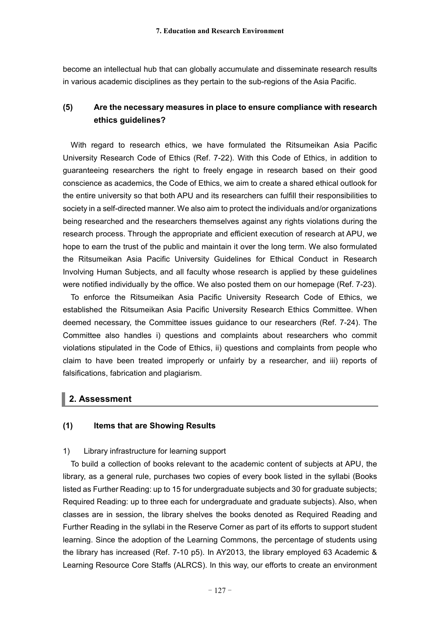become an intellectual hub that can globally accumulate and disseminate research results in various academic disciplines as they pertain to the sub-regions of the Asia Pacific.

# **(5) Are the necessary measures in place to ensure compliance with research ethics guidelines?**

With regard to research ethics, we have formulated the Ritsumeikan Asia Pacific University Research Code of Ethics (Ref. 7-22). With this Code of Ethics, in addition to guaranteeing researchers the right to freely engage in research based on their good conscience as academics, the Code of Ethics, we aim to create a shared ethical outlook for the entire university so that both APU and its researchers can fulfill their responsibilities to society in a self-directed manner. We also aim to protect the individuals and/or organizations being researched and the researchers themselves against any rights violations during the research process. Through the appropriate and efficient execution of research at APU, we hope to earn the trust of the public and maintain it over the long term. We also formulated the Ritsumeikan Asia Pacific University Guidelines for Ethical Conduct in Research Involving Human Subjects, and all faculty whose research is applied by these guidelines were notified individually by the office. We also posted them on our homepage (Ref. 7-23).

To enforce the Ritsumeikan Asia Pacific University Research Code of Ethics, we established the Ritsumeikan Asia Pacific University Research Ethics Committee. When deemed necessary, the Committee issues guidance to our researchers (Ref. 7-24). The Committee also handles i) questions and complaints about researchers who commit violations stipulated in the Code of Ethics, ii) questions and complaints from people who claim to have been treated improperly or unfairly by a researcher, and iii) reports of falsifications, fabrication and plagiarism.

# **2. Assessment**

#### **(1) Items that are Showing Results**

#### 1) Library infrastructure for learning support

To build a collection of books relevant to the academic content of subjects at APU, the library, as a general rule, purchases two copies of every book listed in the syllabi (Books listed as Further Reading: up to 15 for undergraduate subjects and 30 for graduate subjects; Required Reading: up to three each for undergraduate and graduate subjects). Also, when classes are in session, the library shelves the books denoted as Required Reading and Further Reading in the syllabi in the Reserve Corner as part of its efforts to support student learning. Since the adoption of the Learning Commons, the percentage of students using the library has increased (Ref. 7-10 p5). In AY2013, the library employed 63 Academic & Learning Resource Core Staffs (ALRCS). In this way, our efforts to create an environment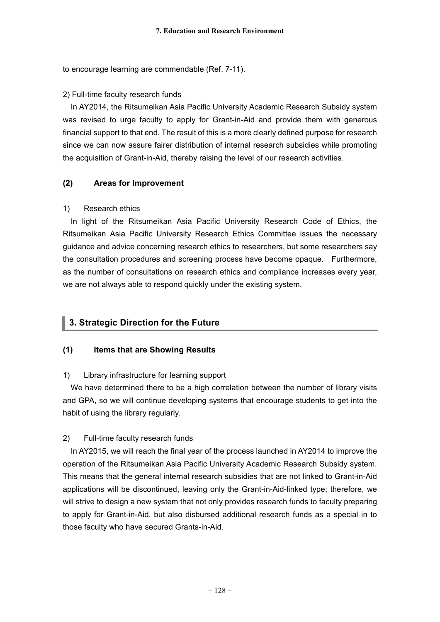to encourage learning are commendable (Ref. 7-11).

### 2) Full-time faculty research funds

In AY2014, the Ritsumeikan Asia Pacific University Academic Research Subsidy system was revised to urge faculty to apply for Grant-in-Aid and provide them with generous financial support to that end. The result of this is a more clearly defined purpose for research since we can now assure fairer distribution of internal research subsidies while promoting the acquisition of Grant-in-Aid, thereby raising the level of our research activities.

## **(2) Areas for Improvement**

### 1) Research ethics

In light of the Ritsumeikan Asia Pacific University Research Code of Ethics, the Ritsumeikan Asia Pacific University Research Ethics Committee issues the necessary guidance and advice concerning research ethics to researchers, but some researchers say the consultation procedures and screening process have become opaque. Furthermore, as the number of consultations on research ethics and compliance increases every year, we are not always able to respond quickly under the existing system.

# **3. Strategic Direction for the Future**

### **(1) Items that are Showing Results**

### 1) Library infrastructure for learning support

We have determined there to be a high correlation between the number of library visits and GPA, so we will continue developing systems that encourage students to get into the habit of using the library regularly.

### 2) Full-time faculty research funds

In AY2015, we will reach the final year of the process launched in AY2014 to improve the operation of the Ritsumeikan Asia Pacific University Academic Research Subsidy system. This means that the general internal research subsidies that are not linked to Grant-in-Aid applications will be discontinued, leaving only the Grant-in-Aid-linked type; therefore, we will strive to design a new system that not only provides research funds to faculty preparing to apply for Grant-in-Aid, but also disbursed additional research funds as a special in to those faculty who have secured Grants-in-Aid.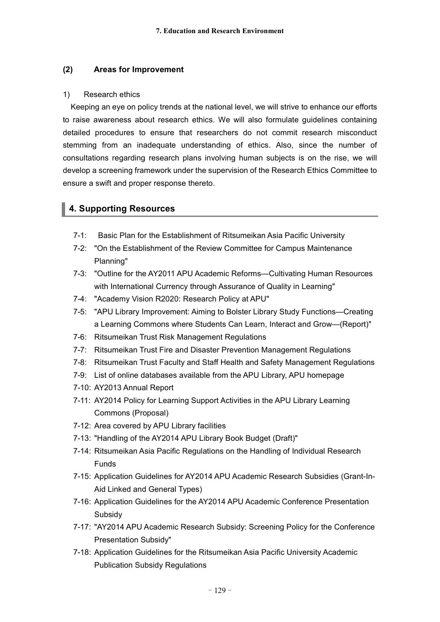### **(2) Areas for Improvement**

#### 1) Research ethics

Keeping an eye on policy trends at the national level, we will strive to enhance our efforts to raise awareness about research ethics. We will also formulate guidelines containing detailed procedures to ensure that researchers do not commit research misconduct stemming from an inadequate understanding of ethics. Also, since the number of consultations regarding research plans involving human subjects is on the rise, we will develop a screening framework under the supervision of the Research Ethics Committee to ensure a swift and proper response thereto.

# **4. Supporting Resources**

- 7-1: Basic Plan for the Establishment of Ritsumeikan Asia Pacific University
- 7-2: "On the Establishment of the Review Committee for Campus Maintenance Planning"
- 7-3: "Outline for the AY2011 APU Academic Reforms—Cultivating Human Resources with International Currency through Assurance of Quality in Learning"
- 7-4: "Academy Vision R2020: Research Policy at APU"
- 7-5: "APU Library Improvement: Aiming to Bolster Library Study Functions—Creating a Learning Commons where Students Can Learn, Interact and Grow—(Report)"
- 7-6: Ritsumeikan Trust Risk Management Regulations
- 7-7: Ritsumeikan Trust Fire and Disaster Prevention Management Regulations
- 7-8: Ritsumeikan Trust Faculty and Staff Health and Safety Management Regulations
- 7-9: List of online databases available from the APU Library, APU homepage
- 7-10: AY2013 Annual Report
- 7-11: AY2014 Policy for Learning Support Activities in the APU Library Learning Commons (Proposal)
- 7-12: Area covered by APU Library facilities
- 7-13: "Handling of the AY2014 APU Library Book Budget (Draft)"
- 7-14: Ritsumeikan Asia Pacific Regulations on the Handling of Individual Research Funds
- 7-15: Application Guidelines for AY2014 APU Academic Research Subsidies (Grant-In-Aid Linked and General Types)
- 7-16: Application Guidelines for the AY2014 APU Academic Conference Presentation Subsidy
- 7-17: "AY2014 APU Academic Research Subsidy: Screening Policy for the Conference Presentation Subsidy"
- 7-18: Application Guidelines for the Ritsumeikan Asia Pacific University Academic Publication Subsidy Regulations